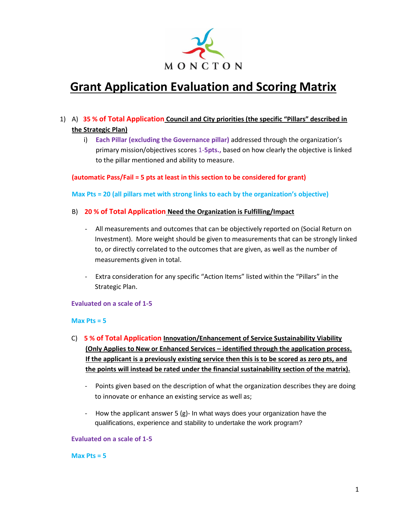

# **Grant Application Evaluation and Scoring Matrix**

- 1) A) **35 % of Total Application Council and City priorities (the specific "Pillars" described in the Strategic Plan)**
	- i) **Each Pillar (excluding the Governance pillar)** addressed through the organization's primary mission/objectives scores 1-**5pts.,** based on how clearly the objective is linked to the pillar mentioned and ability to measure.

#### **(automatic Pass/Fail = 5 pts at least in this section to be considered for grant)**

#### **Max Pts = 20 (all pillars met with strong links to each by the organization's objective)**

### B) **20 % of Total Application Need the Organization is Fulfilling/Impact**

- All measurements and outcomes that can be objectively reported on (Social Return on Investment). More weight should be given to measurements that can be strongly linked to, or directly correlated to the outcomes that are given, as well as the number of measurements given in total.
- Extra consideration for any specific "Action Items" listed within the "Pillars" in the Strategic Plan.

#### **Evaluated on a scale of 1-5**

#### **Max Pts = 5**

- C) **5 % of Total Application Innovation/Enhancement of Service Sustainability Viability (Only Applies to New or Enhanced Services – identified through the application process. If the applicant is a previously existing service then this is to be scored as zero pts, and the points will instead be rated under the financial sustainability section of the matrix).**
	- Points given based on the description of what the organization describes they are doing to innovate or enhance an existing service as well as;
	- How the applicant answer 5 (g)- In what ways does your organization have the qualifications, experience and stability to undertake the work program?

#### **Evaluated on a scale of 1-5**

#### **Max Pts = 5**